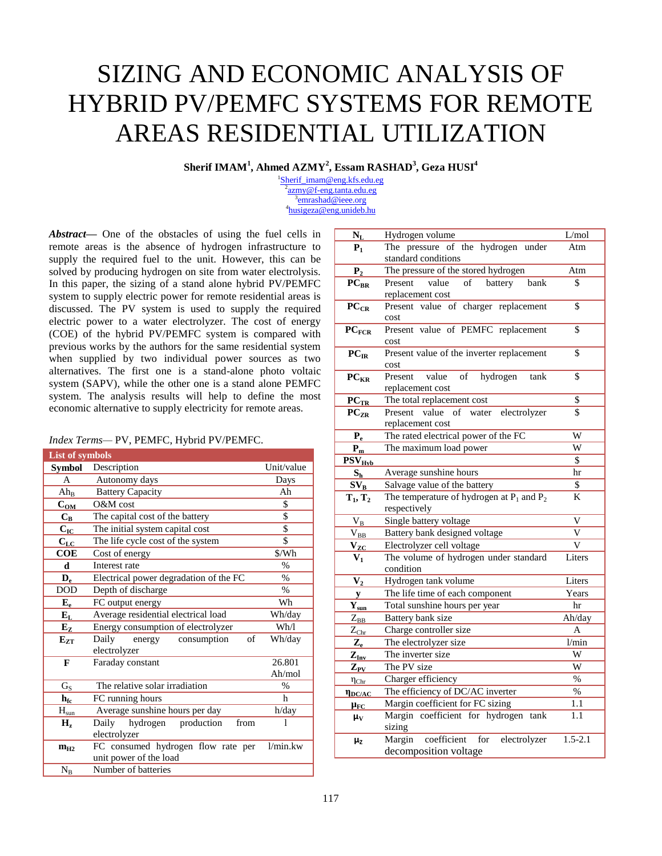# SIZING AND ECONOMIC ANALYSIS OF HYBRID PV/PEMFC SYSTEMS FOR REMOTE AREAS RESIDENTIAL UTILIZATION

**Sherif IMAM<sup>1</sup> , Ahmed AZMY<sup>2</sup> , Essam RASHAD<sup>3</sup> , Geza HUSI<sup>4</sup>**

<sup>1</sup>[Sherif\\_imam@eng.kfs.edu.eg](mailto:Sherif_imam@eng.kfs.edu.eg) <sup>2</sup>[azmy@f-eng.tanta.edu.eg](mailto:azmy@f-eng.tanta.edu.eg) <sup>3</sup>[emrashad@ieee.org](mailto:emrashad@ieee.org) 4 [husigeza@eng.unideb.hu](mailto:husigeza@eng.unideb.hu)

*Abstract—* One of the obstacles of using the fuel cells in remote areas is the absence of hydrogen infrastructure to supply the required fuel to the unit. However, this can be solved by producing hydrogen on site from water electrolysis. In this paper, the sizing of a stand alone hybrid PV/PEMFC system to supply electric power for remote residential areas is discussed. The PV system is used to supply the required electric power to a water electrolyzer. The cost of energy (COE) of the hybrid PV/PEMFC system is compared with previous works by the authors for the same residential system when supplied by two individual power sources as two alternatives. The first one is a stand-alone photo voltaic system (SAPV), while the other one is a stand alone PEMFC system. The analysis results will help to define the most economic alternative to supply electricity for remote areas.

## *Index Terms—* PV, PEMFC, Hybrid PV/PEMFC.

| <b>List of symbols</b>     |                                                              |               |
|----------------------------|--------------------------------------------------------------|---------------|
| Symbol                     | Description                                                  | Unit/value    |
| A                          | Autonomy days                                                | Days          |
| $Ah_{B}$                   | <b>Battery Capacity</b>                                      | Ah            |
| $C_{OM}$                   | O&M cost                                                     | \$            |
| $C_{R}$                    | The capital cost of the battery                              | \$            |
| $C_{IC}$                   | The initial system capital cost                              | \$            |
| $\mathbf{C}_{\mathbf{LC}}$ | The life cycle cost of the system                            | \$            |
| <b>COE</b>                 | Cost of energy                                               | $W^*$         |
| d                          | Interest rate                                                | $\%$          |
| $\mathbf{D}_{\rm e}$       | Electrical power degradation of the FC                       | $\frac{0}{0}$ |
| <b>DOD</b>                 | Depth of discharge                                           | $\%$          |
| ${\bf E_e}$                | FC output energy                                             | Wh            |
| ${\bf E}_{\rm L}$          | Average residential electrical load                          | Wh/day        |
| $E_{Z}$                    | Energy consumption of electrolyzer                           | Wh/l          |
| $E_{ZT}$                   | Daily<br>of<br>energy<br>consumption<br>electrolyzer         | Wh/day        |
| F                          | Faraday constant                                             | 26.801        |
|                            |                                                              | Ah/mol        |
| $G_S$                      | The relative solar irradiation                               | $\frac{0}{0}$ |
| $h_{fc}$                   | FC running hours                                             | h             |
| $H_{sun}$                  | Average sunshine hours per day                               | h/day         |
| Н,                         | Daily<br>hydrogen<br>production<br>from<br>electrolyzer      | 1             |
| $m_{H2}$                   | FC consumed hydrogen flow rate per<br>unit power of the load | 1/min.kw      |
| $N_B$                      | Number of batteries                                          |               |

| $\mathbf{N}_\mathrm{L}$             | Hydrogen volume                                                       | L/mol                 |
|-------------------------------------|-----------------------------------------------------------------------|-----------------------|
| $P_1$                               | The pressure of the hydrogen under                                    | Atm                   |
|                                     | standard conditions                                                   |                       |
| P <sub>2</sub>                      | The pressure of the stored hydrogen                                   | Atm                   |
| $PC_{BR}$                           | $of$ <sup><math>-</math></sup><br>value<br>battery<br>bank<br>Present | \$                    |
|                                     | replacement cost                                                      |                       |
| $PC_{CR}$                           | Present value of charger replacement                                  | \$                    |
|                                     | cost                                                                  |                       |
| $PC_{FCR}$                          | Present value of PEMFC replacement                                    | \$                    |
|                                     | cost                                                                  |                       |
| $PC_{IR}$                           | Present value of the inverter replacement                             | $\overline{\$}$       |
|                                     | cost                                                                  |                       |
| $PC_{KR}$                           | Present<br>value<br>of<br>hydrogen<br>tank                            | $\overline{\$}$       |
|                                     | replacement cost                                                      |                       |
| $PC_{TR}$                           | The total replacement cost                                            | \$                    |
| $PC_{ZR}$                           | Present value of water<br>electrolyzer                                | $\overline{\$}$       |
|                                     | replacement cost                                                      |                       |
| $P_e$                               | The rated electrical power of the FC                                  | W                     |
| $P_m$                               | The maximum load power                                                | $\overline{\text{w}}$ |
| $PSV_{Hvb}$                         |                                                                       | $\overline{\$}$       |
| $S_h$                               | Average sunshine hours                                                | hr                    |
| $SV_B$                              | Salvage value of the battery                                          | $\overline{\$}$       |
| $T_1, T_2$                          | The temperature of hydrogen at $P_1$ and $P_2$                        | K                     |
|                                     | respectively                                                          |                       |
| $V_B$                               | Single battery voltage                                                | V                     |
| $\rm V_{BB}$                        | Battery bank designed voltage                                         | V                     |
| $\mathbf{v}_{\mathbf{z}\mathbf{c}}$ | Electrolyzer cell voltage                                             | V                     |
| $V_1$                               | The volume of hydrogen under standard                                 | Liters                |
|                                     | condition                                                             |                       |
| $\mathbf{V}_2$                      | Hydrogen tank volume                                                  | Liters                |
| y                                   | The life time of each component                                       | Years                 |
| $\mathbf{Y_{sun}}$                  | Total sunshine hours per year                                         | hr                    |
| $Z_{\rm BB}$                        | Battery bank size                                                     | Ah/day                |
| $Z_{\rm Chr}$                       | Charge controller size                                                | A                     |
| $\mathbf{Z}_{\mathrm{e}}$           | The electrolyzer size                                                 | 1/min                 |
| $Z_{Inv}$                           | The inverter size                                                     | W                     |
| $\mathbf{Z}_{\text{PV}}$            | The PV size                                                           | W                     |
| $\eta_{\text{Chr}}$                 | Charger efficiency                                                    | $\%$                  |
| $\eta_{DC/AC}$                      | The efficiency of DC/AC inverter                                      | $\%$                  |
| $\mu$ <sub>FC</sub>                 | Margin coefficient for FC sizing                                      | 1.1                   |
| $\mu_V$                             | Margin coefficient for hydrogen<br>tank                               | 1.1                   |
|                                     | sizing                                                                |                       |
| $\mu_{Z}$                           | Margin<br>coefficient<br>for<br>electrolyzer                          | $1.5 - 2.1$           |
|                                     | decomposition voltage                                                 |                       |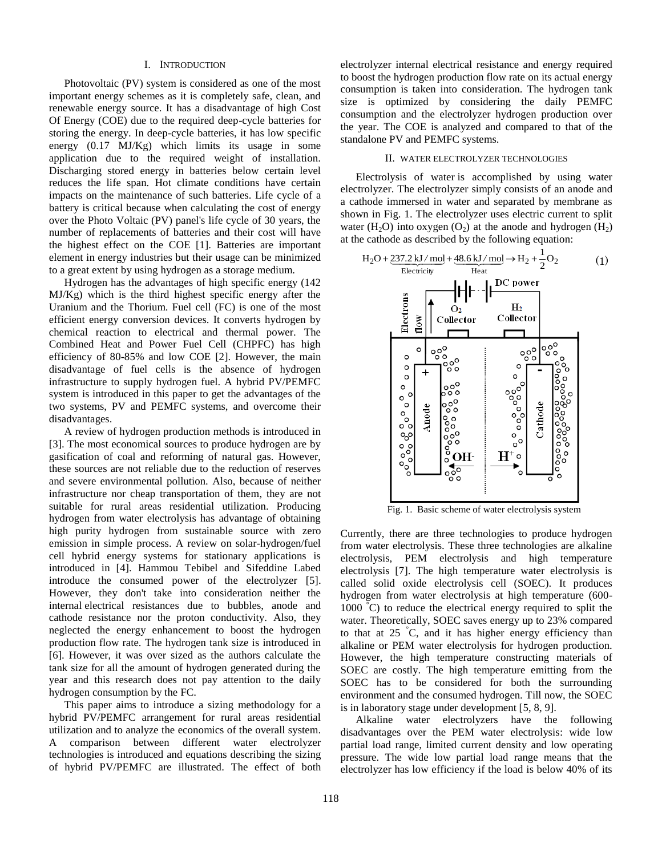#### I. INTRODUCTION

Photovoltaic (PV) system is considered as one of the most important energy schemes as it is completely safe, clean, and renewable energy source. It has a disadvantage of high Cost Of Energy (COE) due to the required deep-cycle batteries for storing the energy. In deep-cycle batteries, it has low specific energy (0.17 MJ/Kg) which limits its usage in some application due to the required weight of installation. Discharging stored energy in batteries below certain level reduces the life span. Hot climate conditions have certain impacts on the maintenance of such batteries. Life cycle of a battery is critical because when calculating the cost of energy over the Photo Voltaic (PV) panel's life cycle of 30 years, the number of replacements of batteries and their cost will have the highest effect on the COE [1]. Batteries are important element in energy industries but their usage can be minimized to a great extent by using hydrogen as a storage medium.

Hydrogen has the advantages of high specific energy (142 MJ/Kg) which is the third highest specific energy after the Uranium and the Thorium. Fuel cell (FC) is one of the most efficient energy conversion devices. It converts hydrogen by chemical reaction to electrical and thermal power. The Combined Heat and Power Fuel Cell (CHPFC) has high efficiency of 80-85% and low COE [2]. However, the main disadvantage of fuel cells is the absence of hydrogen infrastructure to supply hydrogen fuel. A hybrid PV/PEMFC system is introduced in this paper to get the advantages of the two systems, PV and PEMFC systems, and overcome their disadvantages.

A review of hydrogen production methods is introduced in [3]. The most economical sources to produce hydrogen are by gasification of coal and reforming of natural gas. However, these sources are not reliable due to the reduction of reserves and severe environmental pollution. Also, because of neither infrastructure nor cheap transportation of them, they are not suitable for rural areas residential utilization. Producing hydrogen from water electrolysis has advantage of obtaining high purity hydrogen from sustainable source with zero emission in simple process. A review on solar-hydrogen/fuel cell hybrid energy systems for stationary applications is introduced in [4]. Hammou Tebibel and Sifeddine Labed introduce the consumed power of the electrolyzer [5]. However, they don't take into consideration neither the internal electrical resistances due to bubbles, anode and cathode resistance nor the proton conductivity. Also, they neglected the energy enhancement to boost the hydrogen production flow rate. The hydrogen tank size is introduced in [6]. However, it was over sized as the authors calculate the tank size for all the amount of hydrogen generated during the year and this research does not pay attention to the daily hydrogen consumption by the FC.

This paper aims to introduce a sizing methodology for a hybrid PV/PEMFC arrangement for rural areas residential utilization and to analyze the economics of the overall system. A comparison between different water electrolyzer technologies is introduced and equations describing the sizing of hybrid PV/PEMFC are illustrated. The effect of both

electrolyzer internal electrical resistance and energy required to boost the hydrogen production flow rate on its actual energy consumption is taken into consideration. The hydrogen tank size is optimized by considering the daily PEMFC consumption and the electrolyzer hydrogen production over the year. The COE is analyzed and compared to that of the standalone PV and PEMFC systems.

## II. WATER ELECTROLYZER TECHNOLOGIES

Electrolysis of water is accomplished by using water electrolyzer. The electrolyzer simply consists of an anode and a cathode immersed in water and separated by membrane as shown in Fig. 1. The electrolyzer uses electric current to split water (H<sub>2</sub>O) into oxygen (O<sub>2</sub>) at the anode and hydrogen (H<sub>2</sub>) at the cathode as described by the following equation:



Fig. 1. Basic scheme of water electrolysis system

Currently, there are three technologies to produce hydrogen from water electrolysis. These three technologies are alkaline electrolysis, PEM electrolysis and high temperature electrolysis [7]. The high temperature water electrolysis is called solid oxide electrolysis cell (SOEC). It produces hydrogen from water electrolysis at high temperature (600- 1000 °C) to reduce the electrical energy required to split the water. Theoretically, SOEC saves energy up to 23% compared to that at 25 °C, and it has higher energy efficiency than alkaline or PEM water electrolysis for hydrogen production. However, the high temperature constructing materials of SOEC are costly. The high temperature emitting from the SOEC has to be considered for both the surrounding environment and the consumed hydrogen. Till now, the SOEC is in laboratory stage under development [5, 8, 9].

Alkaline water electrolyzers have the following disadvantages over the PEM water electrolysis: wide low partial load range, limited current density and low operating pressure. The wide low partial load range means that the electrolyzer has low efficiency if the load is below 40% of its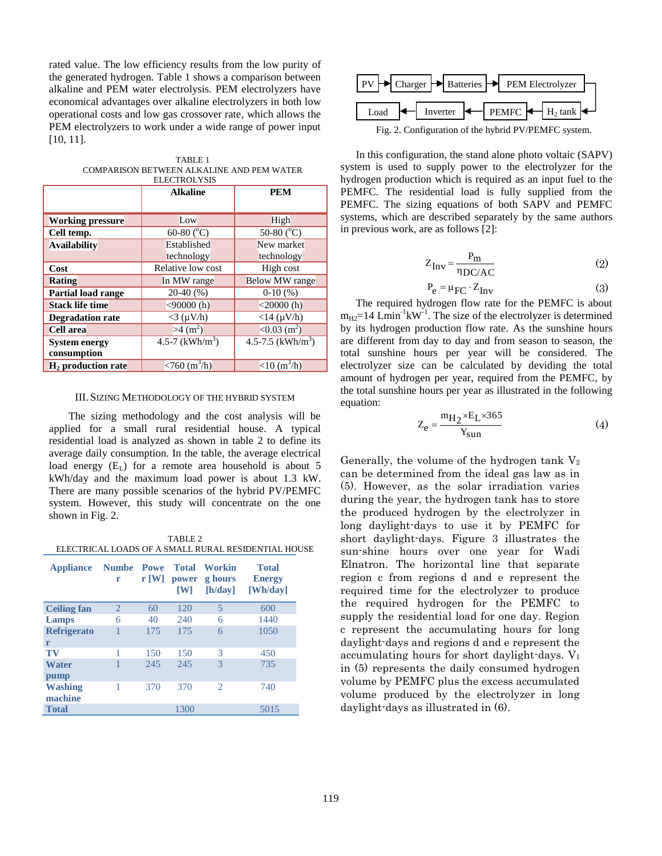rated value. The low efficiency results from the low purity of the generated hydrogen. Table 1 shows a comparison between alkaline and PEM water electrolysis. PEM electrolyzers have economical advantages over alkaline electrolyzers in both low operational costs and low gas crossover rate, which allows the PEM electrolyzers to work under a wide range of power input [10, 11].

| TABLE 1                                   |
|-------------------------------------------|
| COMPARISON BETWEEN ALKALINE AND PEM WATER |
| ELECTROLYSIS                              |

|                           | <b>Alkaline</b>        | <b>PEM</b>                      |  |
|---------------------------|------------------------|---------------------------------|--|
|                           |                        |                                 |  |
| <b>Working pressure</b>   | Low                    | High                            |  |
| Cell temp.                | 60-80 $(^{\circ}C)$    | 50-80 (°C)                      |  |
| <b>Availability</b>       | Established            | New market                      |  |
|                           | technology             | technology                      |  |
| Cost                      | Relative low cost      | High cost                       |  |
| Rating                    | In MW range            | Below MW range                  |  |
| <b>Partial load range</b> | $20-40(%)$             | $0-10(%)$                       |  |
| <b>Stack life time</b>    | $<$ 90000 $(h)$        | $<$ 20000 $(h)$                 |  |
| <b>Degradation rate</b>   | $<$ 3 ( $\mu$ V/h)     | $<$ 14 ( $\mu$ V/h)             |  |
| <b>Cell</b> area          | $>4$ (m <sup>2</sup> ) | $\sqrt{0.03}$ (m <sup>2</sup> ) |  |
| <b>System energy</b>      | 4.5-7 $(kWh/m^3)$      | 4.5-7.5 (kWh/m <sup>3</sup> )   |  |
| consumption               |                        |                                 |  |
| $H2$ production rate      | $< 760 \ (m^3/h)$      | $<$ 10 (m <sup>3</sup> /h)      |  |

## III. SIZING METHODOLOGY OF THE HYBRID SYSTEM

The sizing methodology and the cost analysis will be applied for a small rural residential house. A typical residential load is analyzed as shown in table 2 to define its average daily consumption. In the table, the average electrical load energy  $(E<sub>L</sub>)$  for a remote area household is about 5 kWh/day and the maximum load power is about 1.3 kW. There are many possible scenarios of the hybrid PV/PEMFC system. However, this study will concentrate on the one shown in Fig. 2.

TABLE 2 ELECTRICAL LOADS OF A SMALL RURAL RESIDENTIAL HOUSE

| <b>Appliance</b>          | <b>Numbe</b> Powe<br>r | $r$ [W] | Total<br>power<br><b>TW1</b> | Workin<br>g hours<br>[h/day] | <b>Total</b><br><b>Energy</b><br>[Wh/day] |
|---------------------------|------------------------|---------|------------------------------|------------------------------|-------------------------------------------|
| <b>Ceiling fan</b>        | 2                      | 60      | 120                          | $\overline{5}$               | 600                                       |
| Lamps                     | 6                      | 40      | 240                          | 6                            | 1440                                      |
| <b>Refrigerato</b>        |                        | 175     | 175                          | 6                            | 1050                                      |
| r                         |                        |         |                              |                              |                                           |
| TV                        | 1                      | 150     | 150                          | 3                            | 450                                       |
| <b>Water</b><br>pump      |                        | 245     | 245                          | 3                            | 735                                       |
| <b>Washing</b><br>machine | 1                      | 370     | 370                          | $\mathcal{D}_{\mathcal{L}}$  | 740                                       |
| <b>Total</b>              |                        |         | 1300                         |                              | 5015                                      |



In this configuration, the stand alone photo voltaic (SAPV) system is used to supply power to the electrolyzer for the hydrogen production which is required as an input fuel to the PEMFC. The residential load is fully supplied from the PEMFC. The sizing equations of both SAPV and PEMFC systems, which are described separately by the same authors in previous work, are as follows [2]:

$$
Z_{\text{Inv}} = \frac{P_{\text{m}}}{\eta_{\text{DC/AC}}} \tag{2}
$$

$$
P_e = \mu_{FC} \cdot Z_{Inv}
$$
 (3)

The required hydrogen flow rate for the PEMFC is about  $m_{H2}=14$  Lmin<sup>-1</sup>kW<sup>-1</sup>. The size of the electrolyzer is determined by its hydrogen production flow rate. As the sunshine hours are different from day to day and from season to season, the total sunshine hours per year will be considered. The electrolyzer size can be calculated by deviding the total amount of hydrogen per year, required from the PEMFC, by the total sunshine hours per year as illustrated in the following equation:

$$
Z_e = \frac{m_{H_2} \times E_L \times 365}{Y_{sun}} \tag{4}
$$

Generally, the volume of the hydrogen tank  $V_2$ can be determined from the ideal gas law as in (5). However, as the solar irradiation varies during the year, the hydrogen tank has to store the produced hydrogen by the electrolyzer in long daylight-days to use it by PEMFC for short daylight-days. Figure 3 illustrates the sun-shine hours over one year for Wadi Elnatron. The horizontal line that separate region c from regions d and e represent the required time for the electrolyzer to produce the required hydrogen for the PEMFC to supply the residential load for one day. Region c represent the accumulating hours for long daylight-days and regions d and e represent the accumulating hours for short daylight-days. V<sup>1</sup> in (5) represents the daily consumed hydrogen volume by PEMFC plus the excess accumulated volume produced by the electrolyzer in long daylight-days as illustrated in (6).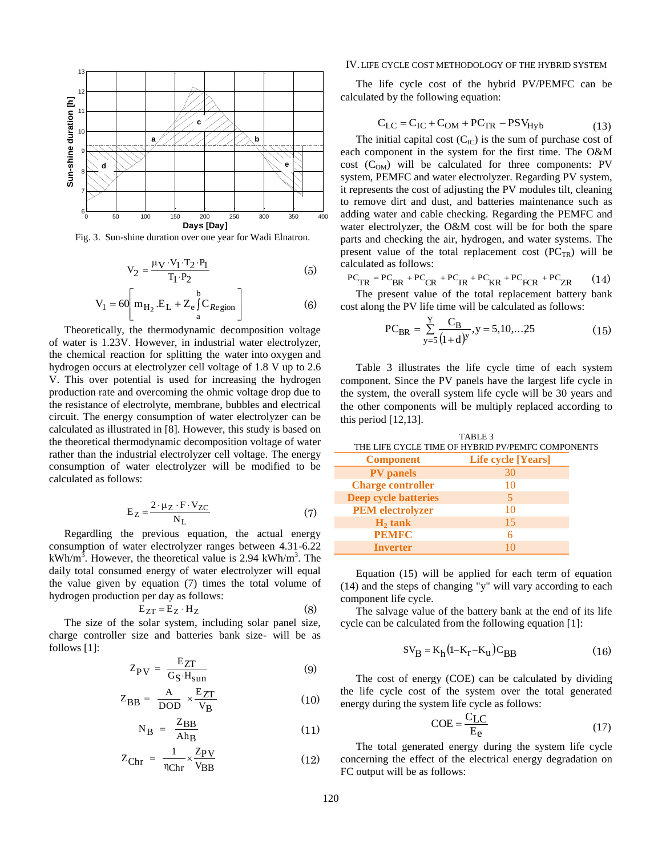

Fig. 3. Sun-shine duration over one year for Wadi Elnatron.

$$
V_2 = \frac{\mu V \cdot V_1 \cdot T_2 \cdot P_1}{T_1 \cdot P_2} \tag{5}
$$

$$
V_1 = 60 \left[ m_{H_2} . E_L + Z_e \int_a^b C_{Region} \right]
$$
 (6)

Theoretically, the thermodynamic decomposition voltage of water is 1.23V. However, in industrial water electrolyzer, the chemical reaction for splitting the water into oxygen and hydrogen occurs at electrolyzer cell voltage of 1.8 V up to 2.6 V. This over potential is used for increasing the hydrogen production rate and overcoming the ohmic voltage drop due to the resistance of electrolyte, membrane, bubbles and electrical circuit. The energy consumption of water electrolyzer can be calculated as illustrated in [8]. However, this study is based on the theoretical thermodynamic decomposition voltage of water rather than the industrial electrolyzer cell voltage. The energy consumption of water electrolyzer will be modified to be calculated as follows:

$$
E_Z = \frac{2 \cdot \mu_Z \cdot F \cdot V_{ZC}}{N_L} \tag{7}
$$

Regardling the previous equation, the actual energy consumption of water electrolyzer ranges between 4.31-6.22 kWh/m<sup>3</sup>. However, the theoretical value is 2.94 kWh/m<sup>3</sup>. The daily total consumed energy of water electrolyzer will equal the value given by equation (7) times the total volume of hydrogen production per day as follows:

$$
E_{ZT} = E_Z \cdot H_Z \tag{8}
$$

The size of the solar system, including solar panel size, charge controller size and batteries bank size- will be as follows [1]:

$$
Z_{PV} = \frac{E_{ZT}}{G_S \cdot H_{sun}} \tag{9}
$$

$$
Z_{BB} = \frac{A}{DOD} \times \frac{E_{ZT}}{V_B} \tag{10}
$$

$$
N_B = \frac{Z_{BB}}{Ah_B} \tag{11}
$$

$$
Z_{\text{Chr}} = \frac{1}{\eta_{\text{Chr}}} \times \frac{Z_{\text{PV}}}{V_{\text{BB}}}
$$
 (12)

## IV.LIFE CYCLE COST METHODOLOGY OF THE HYBRID SYSTEM

The life cycle cost of the hybrid PV/PEMFC can be calculated by the following equation:

$$
C_{LC} = C_{IC} + C_{OM} + PC_{TR} - PSV_{Hyb}
$$
 (13)

The initial capital cost  $(C_{\text{IC}})$  is the sum of purchase cost of each component in the system for the first time. The O&M  $cost$  ( $C<sub>OM</sub>$ ) will be calculated for three components: PV system, PEMFC and water electrolyzer. Regarding PV system, it represents the cost of adjusting the PV modules tilt, cleaning to remove dirt and dust, and batteries maintenance such as adding water and cable checking. Regarding the PEMFC and water electrolyzer, the O&M cost will be for both the spare parts and checking the air, hydrogen, and water systems. The present value of the total replacement cost  $(PC_{TR})$  will be calculated as follows:

$$
PC_{TR} = PC_{BR} + PC_{CR} + PC_{IR} + PC_{KR} + PC_{PCR} + PC_{ZR}
$$
 (14)

The present value of the total replacement battery bank cost along the PV life time will be calculated as follows:

$$
PC_{BR} = \sum_{y=5}^{Y} \frac{C_B}{(1+d)^y}, y = 5, 10, \dots, 25
$$
 (15)

Table 3 illustrates the life cycle time of each system component. Since the PV panels have the largest life cycle in the system, the overall system life cycle will be 30 years and the other components will be multiply replaced according to this period [12,13].

TABLE 3

| THE LIFE CYCLE TIME OF HYBRID PV/PEMFC COMPONENTS |                    |  |  |  |
|---------------------------------------------------|--------------------|--|--|--|
| <b>Component</b>                                  | Life cycle [Years] |  |  |  |
| <b>PV</b> panels                                  | 30                 |  |  |  |
| <b>Charge controller</b>                          | 10                 |  |  |  |
| <b>Deep cycle batteries</b>                       |                    |  |  |  |
| <b>PEM</b> electrolyzer                           | 10                 |  |  |  |
| $H_2$ tank                                        | 15                 |  |  |  |
| <b>PEMFC</b>                                      | 6                  |  |  |  |
| <b>Inverter</b>                                   |                    |  |  |  |

Equation (15) will be applied for each term of equation (14) and the steps of changing "y" will vary according to each component life cycle.

The salvage value of the battery bank at the end of its life cycle can be calculated from the following equation [1]:

$$
SV_B = K_h (1 - K_r - K_u) C_{BB}
$$
 (16)

The cost of energy (COE) can be calculated by dividing the life cycle cost of the system over the total generated energy during the system life cycle as follows:

$$
COE = \frac{C_{LC}}{E_e}
$$
 (17)

The total generated energy during the system life cycle concerning the effect of the electrical energy degradation on FC output will be as follows: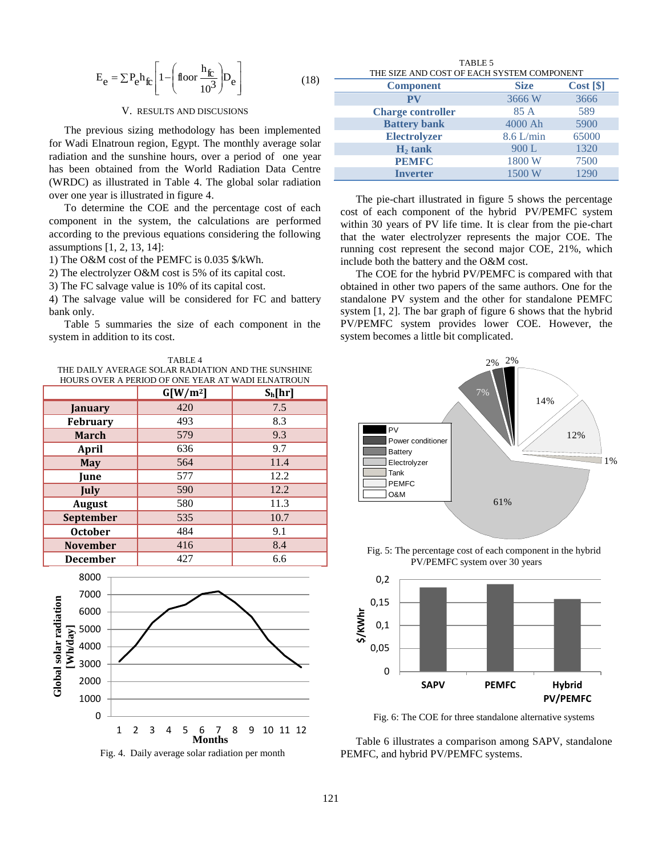$$
E_e = \sum P_e h_{fc} \left[ 1 - \left( \text{floor} \frac{h_{fc}}{10^3} \right) D_e \right]
$$
 (18)

#### V. RESULTS AND DISCUSIONS

The previous sizing methodology has been implemented for Wadi Elnatroun region, Egypt. The monthly average solar radiation and the sunshine hours, over a period of one year has been obtained from the World Radiation Data Centre (WRDC) as illustrated in Table 4. The global solar radiation over one year is illustrated in figure 4.

To determine the COE and the percentage cost of each component in the system, the calculations are performed according to the previous equations considering the following assumptions [1, 2, 13, 14]:

1) The O&M cost of the PEMFC is 0.035 \$/kWh.

2) The electrolyzer O&M cost is 5% of its capital cost.

3) The FC salvage value is 10% of its capital cost.

4) The salvage value will be considered for FC and battery bank only.

Table 5 summaries the size of each component in the system in addition to its cost.

TABLE 4 THE DAILY AVERAGE SOLAR RADIATION AND THE SUNSHINE HOURS OVER A PERIOD OF ONE YEAR AT WADI ELNATROUN

|                  | $G[W/m^2]$ | $S_h[hr]$ |
|------------------|------------|-----------|
| January          | 420        | 7.5       |
| <b>February</b>  | 493        | 8.3       |
| <b>March</b>     | 579        | 9.3       |
| <b>April</b>     | 636        | 9.7       |
| <b>May</b>       | 564        | 11.4      |
| <b>June</b>      | 577        | 12.2      |
| July             | 590        | 12.2      |
| <b>August</b>    | 580        | 11.3      |
| <b>September</b> | 535        | 10.7      |
| <b>October</b>   | 484        | 9.1       |
| <b>November</b>  | 416        | 8.4       |
| <b>December</b>  | 427        | 6.6       |



Fig. 4. Daily average solar radiation per month

TABLE 5 THE SIZE AND COST OF EACH SYSTEM COMPONENT

| <b>Component</b>         | <b>Size</b> | Cost [ <b>§</b> ] |
|--------------------------|-------------|-------------------|
| PV                       | 3666W       | 3666              |
| <b>Charge controller</b> | 85 A        | 589               |
| <b>Battery bank</b>      | 4000 Ah     | 5900              |
| <b>Electrolyzer</b>      | $8.6$ L/min | 65000             |
| $H_2$ tank               | 900L        | 1320              |
| <b>PEMFC</b>             | 1800 W      | 7500              |
| <b>Inverter</b>          | 1500 W      | 1290              |

The pie-chart illustrated in figure 5 shows the percentage cost of each component of the hybrid PV/PEMFC system within 30 years of PV life time. It is clear from the pie-chart that the water electrolyzer represents the major COE. The running cost represent the second major COE, 21%, which include both the battery and the O&M cost.

The COE for the hybrid PV/PEMFC is compared with that obtained in other two papers of the same authors. One for the standalone PV system and the other for standalone PEMFC system [1, 2]. The bar graph of figure 6 shows that the hybrid PV/PEMFC system provides lower COE. However, the system becomes a little bit complicated.



Fig. 5: The percentage cost of each component in the hybrid PV/PEMFC system over 30 years



Fig. 6: The COE for three standalone alternative systems

Table 6 illustrates a comparison among SAPV, standalone PEMFC, and hybrid PV/PEMFC systems.